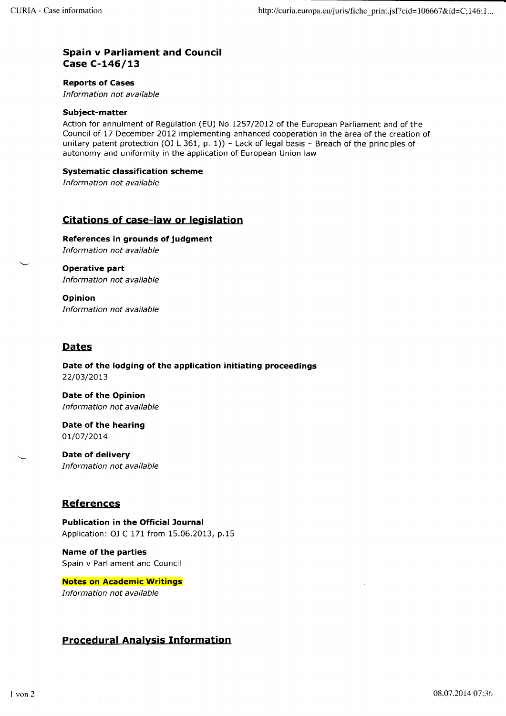#### Spain v Parliament and Council Case C-I46/L3

Reports of Cases

Information not available

#### Subject-matter

Action for annulment of Regulation (EU) No 1257/2012 of the European Parliament and of the Council of 17 December 2012 implementing enhanced cooperation in the area of the creation of unitary patent protection (OJ L 361, p. 1)) - Lack of legal basis - Breach of the principles of autonomy and uniformity in the application of European Union law

#### Systematic classification scheme

Information not available

### Citations of case-law or leqislation

References in grounds of judgment Information not available

\- Operative part Information not available

Opinion Information not available

#### Dates

Date of the lodging of the application initiating proceedings 22/03/2013

Date of the Opinion Information not available

Date of the hearing 01/07/2014

Date of delivery Information not available

## References

Publication in the Official Journal Application: OJ C 171 from 15.06.2013, p.15

Name of the parties Spain v Parliament and Council

Notes on Academic Writings Information not available

### Procedural Analysis Information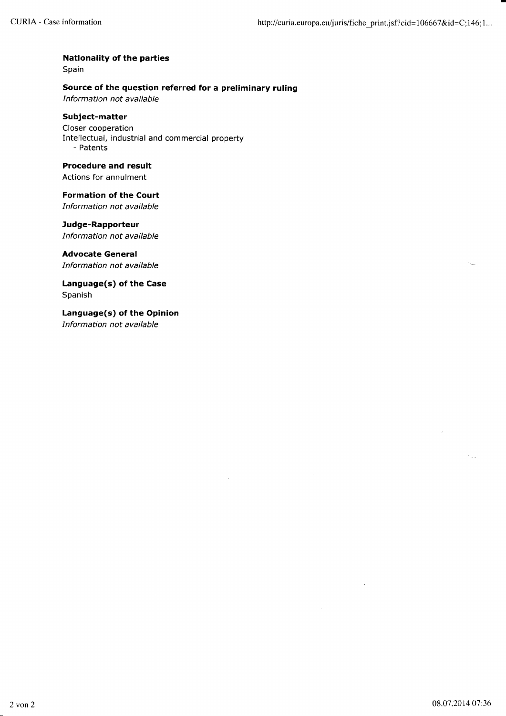## Nationality of the parties

Spain

#### Source of the question referred for a preliminary ruling

Information not available

#### Subject-matter

Closer cooperation Intellectual, industrial and commercial property - Patents

Procedure and result Actions for annulment

Formation of the Court Information not available

Judge-Rapporteur

Information not available

Advocate General

Information not available

Language(s) of the Case Spanish

Language(s) of the Opinion Information not available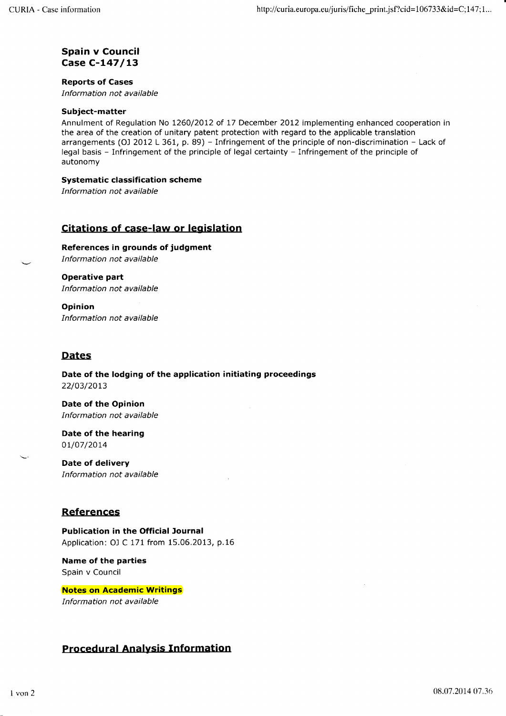## Spain v Council Case C-L47/13

## Reports of Cases

Information not available

## Subject-matter

Annulment of Regulation No 1260/2012 of 17 December 2012 implementing enhanced cooperation in the area of the creation of unitary patent protection with regard to the applicable translation arrangements (OJ 2012 L 361, p. 89) - Infringement of the principle of non-discrimination - Lack of legal basis - Infringement of the principle of legal certainty - Infringement of the principle of autonomy

## Systematic classification scheme

Information not available

# Citations of case-law or legislation

References in grounds of judgment <sup>I</sup>nformation not available

Operative part Information not available

Opinion Information not available

## Dates

Date of the lodging of the application initiating proceedings 22/03/20t3

Date of the Opinion Information not available

Date of the hearing ot/07/2014

Date of delivery Information not available

## **References**

Publication in the Official Journal Application: OJ C 171 from 15.06.2013, p.16

Name of the parties Spain v Council

Notes on Academic Writings Information not available

# Procedural Analysis Information